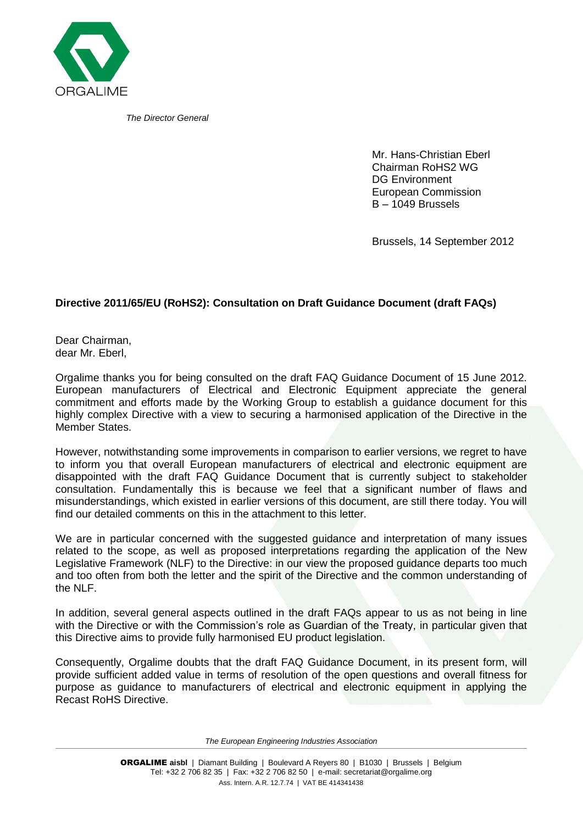

*The Director General*

Mr. Hans-Christian Eberl Chairman RoHS2 WG DG Environment European Commission B – 1049 Brussels

Brussels, 14 September 2012

## **Directive 2011/65/EU (RoHS2): Consultation on Draft Guidance Document (draft FAQs)**

Dear Chairman, dear Mr. Eberl,

Orgalime thanks you for being consulted on the draft FAQ Guidance Document of 15 June 2012. European manufacturers of Electrical and Electronic Equipment appreciate the general commitment and efforts made by the Working Group to establish a guidance document for this highly complex Directive with a view to securing a harmonised application of the Directive in the Member States.

However, notwithstanding some improvements in comparison to earlier versions, we regret to have to inform you that overall European manufacturers of electrical and electronic equipment are disappointed with the draft FAQ Guidance Document that is currently subject to stakeholder consultation. Fundamentally this is because we feel that a significant number of flaws and misunderstandings, which existed in earlier versions of this document, are still there today. You will find our detailed comments on this in the attachment to this letter.

We are in particular concerned with the suggested guidance and interpretation of many issues related to the scope, as well as proposed interpretations regarding the application of the New Legislative Framework (NLF) to the Directive: in our view the proposed guidance departs too much and too often from both the letter and the spirit of the Directive and the common understanding of the NLF.

In addition, several general aspects outlined in the draft FAQs appear to us as not being in line with the Directive or with the Commission's role as Guardian of the Treaty, in particular given that this Directive aims to provide fully harmonised EU product legislation.

Consequently, Orgalime doubts that the draft FAQ Guidance Document, in its present form, will provide sufficient added value in terms of resolution of the open questions and overall fitness for purpose as guidance to manufacturers of electrical and electronic equipment in applying the Recast RoHS Directive.

*The European Engineering Industries Association*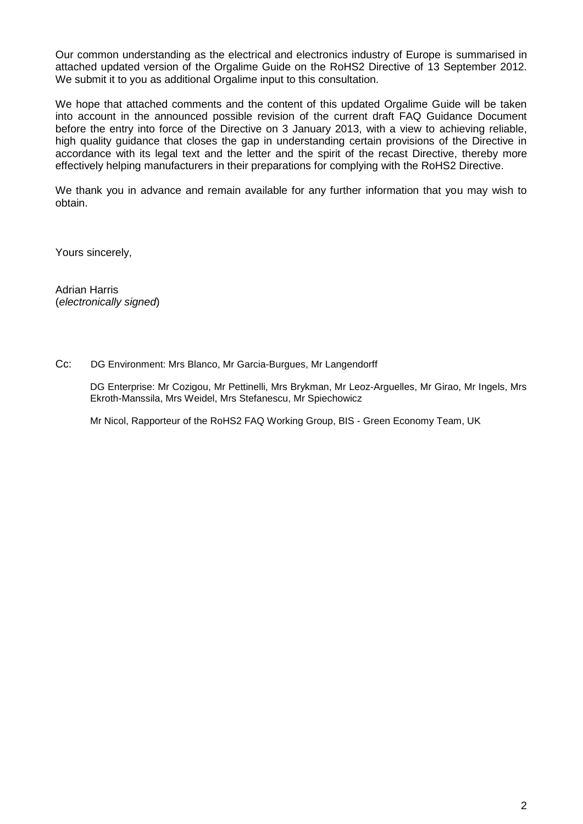Our common understanding as the electrical and electronics industry of Europe is summarised in attached updated version of the Orgalime Guide on the RoHS2 Directive of 13 September 2012. We submit it to you as additional Orgalime input to this consultation.

We hope that attached comments and the content of this updated Orgalime Guide will be taken into account in the announced possible revision of the current draft FAQ Guidance Document before the entry into force of the Directive on 3 January 2013, with a view to achieving reliable, high quality guidance that closes the gap in understanding certain provisions of the Directive in accordance with its legal text and the letter and the spirit of the recast Directive, thereby more effectively helping manufacturers in their preparations for complying with the RoHS2 Directive.

We thank you in advance and remain available for any further information that you may wish to obtain.

Yours sincerely,

Adrian Harris (*electronically signed*)

Cc: DG Environment: Mrs Blanco, Mr Garcia-Burgues, Mr Langendorff

DG Enterprise: Mr Cozigou, Mr Pettinelli, Mrs Brykman, Mr Leoz-Arguelles, Mr Girao, Mr Ingels, Mrs Ekroth-Manssila, Mrs Weidel, Mrs Stefanescu, Mr Spiechowicz

Mr Nicol, Rapporteur of the RoHS2 FAQ Working Group, BIS - Green Economy Team, UK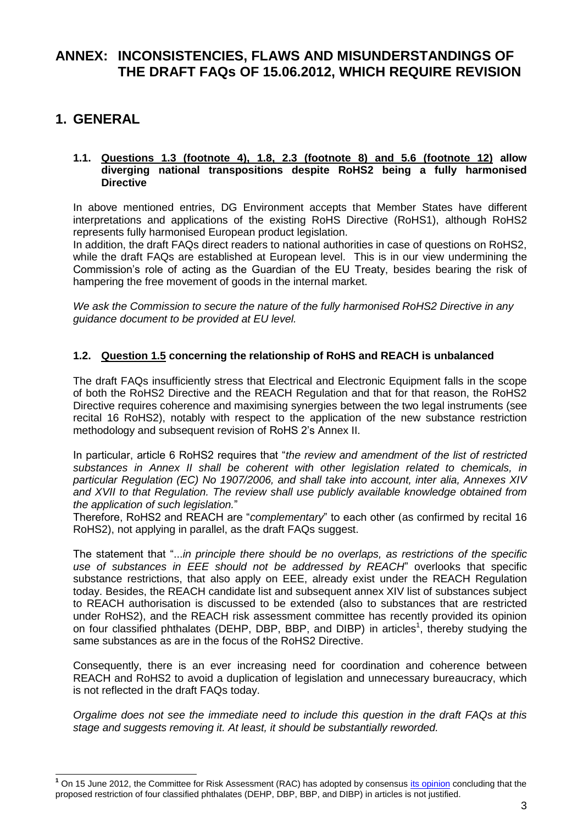## **ANNEX: INCONSISTENCIES, FLAWS AND MISUNDERSTANDINGS OF THE DRAFT FAQs OF 15.06.2012, WHICH REQUIRE REVISION**

## **1. GENERAL**

j

#### **1.1. Questions 1.3 (footnote 4), 1.8, 2.3 (footnote 8) and 5.6 (footnote 12) allow diverging national transpositions despite RoHS2 being a fully harmonised Directive**

In above mentioned entries, DG Environment accepts that Member States have different interpretations and applications of the existing RoHS Directive (RoHS1), although RoHS2 represents fully harmonised European product legislation.

In addition, the draft FAQs direct readers to national authorities in case of questions on RoHS2, while the draft FAQs are established at European level. This is in our view undermining the Commission's role of acting as the Guardian of the EU Treaty, besides bearing the risk of hampering the free movement of goods in the internal market.

*We ask the Commission to secure the nature of the fully harmonised RoHS2 Directive in any guidance document to be provided at EU level.*

## **1.2. Question 1.5 concerning the relationship of RoHS and REACH is unbalanced**

The draft FAQs insufficiently stress that Electrical and Electronic Equipment falls in the scope of both the RoHS2 Directive and the REACH Regulation and that for that reason, the RoHS2 Directive requires coherence and maximising synergies between the two legal instruments (see recital 16 RoHS2), notably with respect to the application of the new substance restriction methodology and subsequent revision of RoHS 2's Annex II.

In particular, article 6 RoHS2 requires that "*the review and amendment of the list of restricted substances in Annex II shall be coherent with other legislation related to chemicals, in particular Regulation (EC) No 1907/2006, and shall take into account, inter alia, Annexes XIV and XVII to that Regulation. The review shall use publicly available knowledge obtained from the application of such legislation.*"

Therefore, RoHS2 and REACH are "*complementary*" to each other (as confirmed by recital 16 RoHS2), not applying in parallel, as the draft FAQs suggest.

The statement that "...*in principle there should be no overlaps, as restrictions of the specific use of substances in EEE should not be addressed by REACH*" overlooks that specific substance restrictions, that also apply on EEE, already exist under the REACH Regulation today. Besides, the REACH candidate list and subsequent annex XIV list of substances subject to REACH authorisation is discussed to be extended (also to substances that are restricted under RoHS2), and the REACH risk assessment committee has recently provided its opinion on four classified phthalates (DEHP, DBP, BBP, and DIBP) in articles<sup>1</sup>, thereby studying the same substances as are in the focus of the RoHS2 Directive.

Consequently, there is an ever increasing need for coordination and coherence between REACH and RoHS2 to avoid a duplication of legislation and unnecessary bureaucracy, which is not reflected in the draft FAQs today.

*Orgalime does not see the immediate need to include this question in the draft FAQs at this stage and suggests removing it. At least, it should be substantially reworded.*

<sup>&</sup>lt;sup>1</sup> On 15 June 2012, the Committee for Risk Assessment (RAC) has adopted by consensus *its opinion* concluding that the proposed restriction of four classified phthalates (DEHP, DBP, BBP, and DIBP) in articles is not justified.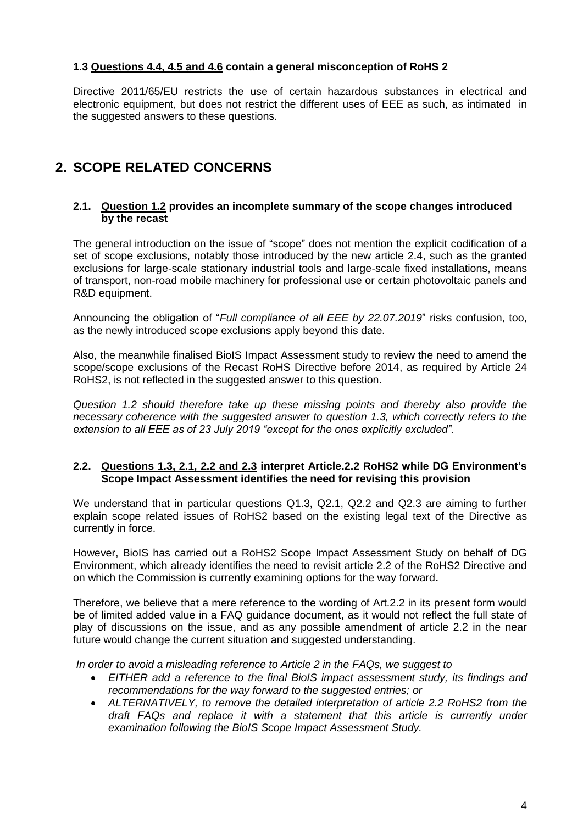## **1.3 Questions 4.4, 4.5 and 4.6 contain a general misconception of RoHS 2**

Directive 2011/65/EU restricts the use of certain hazardous substances in electrical and electronic equipment, but does not restrict the different uses of EEE as such, as intimated in the suggested answers to these questions.

# **2. SCOPE RELATED CONCERNS**

#### **2.1. Question 1.2 provides an incomplete summary of the scope changes introduced by the recast**

The general introduction on the issue of "scope" does not mention the explicit codification of a set of scope exclusions, notably those introduced by the new article 2.4, such as the granted exclusions for large-scale stationary industrial tools and large-scale fixed installations, means of transport, non-road mobile machinery for professional use or certain photovoltaic panels and R&D equipment.

Announcing the obligation of "*Full compliance of all EEE by 22.07.2019*" risks confusion, too, as the newly introduced scope exclusions apply beyond this date.

Also, the meanwhile finalised BioIS Impact Assessment study to review the need to amend the scope/scope exclusions of the Recast RoHS Directive before 2014, as required by Article 24 RoHS2, is not reflected in the suggested answer to this question.

*Question 1.2 should therefore take up these missing points and thereby also provide the necessary coherence with the suggested answer to question 1.3, which correctly refers to the extension to all EEE as of 23 July 2019 "except for the ones explicitly excluded".*

#### **2.2. Questions 1.3, 2.1, 2.2 and 2.3 interpret Article.2.2 RoHS2 while DG Environment's Scope Impact Assessment identifies the need for revising this provision**

We understand that in particular questions Q1.3, Q2.1, Q2.2 and Q2.3 are aiming to further explain scope related issues of RoHS2 based on the existing legal text of the Directive as currently in force.

However, BioIS has carried out a RoHS2 Scope Impact Assessment Study on behalf of DG Environment, which already identifies the need to revisit article 2.2 of the RoHS2 Directive and on which the Commission is currently examining options for the way forward**.** 

Therefore, we believe that a mere reference to the wording of Art.2.2 in its present form would be of limited added value in a FAQ guidance document, as it would not reflect the full state of play of discussions on the issue, and as any possible amendment of article 2.2 in the near future would change the current situation and suggested understanding.

*In order to avoid a misleading reference to Article 2 in the FAQs, we suggest to*

- *EITHER add a reference to the final BioIS impact assessment study, its findings and recommendations for the way forward to the suggested entries; or*
- *ALTERNATIVELY, to remove the detailed interpretation of article 2.2 RoHS2 from the draft FAQs and replace it with a statement that this article is currently under examination following the BioIS Scope Impact Assessment Study.*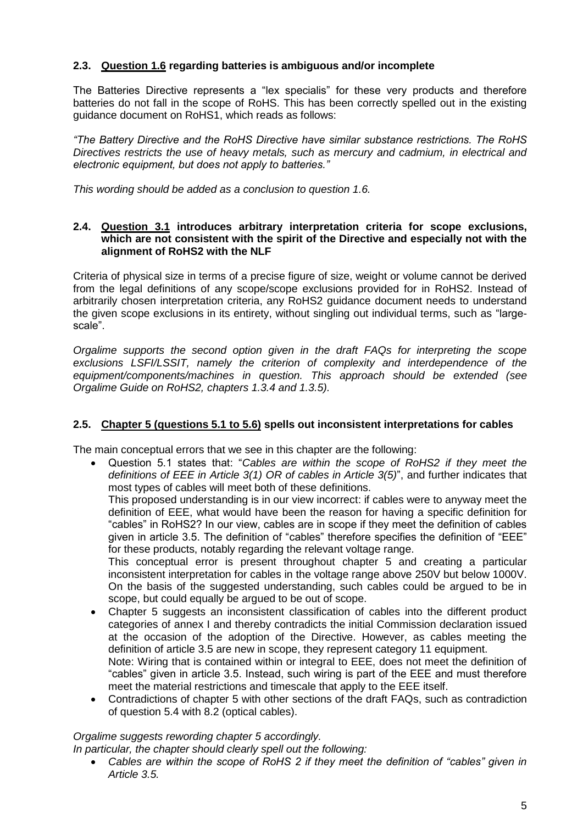## **2.3. Question 1.6 regarding batteries is ambiguous and/or incomplete**

The Batteries Directive represents a "lex specialis" for these very products and therefore batteries do not fall in the scope of RoHS. This has been correctly spelled out in the existing guidance document on RoHS1, which reads as follows:

*"The Battery Directive and the RoHS Directive have similar substance restrictions. The RoHS Directives restricts the use of heavy metals, such as mercury and cadmium, in electrical and electronic equipment, but does not apply to batteries."*

*This wording should be added as a conclusion to question 1.6.*

#### **2.4. Question 3.1 introduces arbitrary interpretation criteria for scope exclusions, which are not consistent with the spirit of the Directive and especially not with the alignment of RoHS2 with the NLF**

Criteria of physical size in terms of a precise figure of size, weight or volume cannot be derived from the legal definitions of any scope/scope exclusions provided for in RoHS2. Instead of arbitrarily chosen interpretation criteria, any RoHS2 guidance document needs to understand the given scope exclusions in its entirety, without singling out individual terms, such as "largescale".

*Orgalime supports the second option given in the draft FAQs for interpreting the scope exclusions LSFI/LSSIT, namely the criterion of complexity and interdependence of the equipment/components/machines in question. This approach should be extended (see Orgalime Guide on RoHS2, chapters 1.3.4 and 1.3.5).*

## **2.5. Chapter 5 (questions 5.1 to 5.6) spells out inconsistent interpretations for cables**

The main conceptual errors that we see in this chapter are the following:

 Question 5.1 states that: "*Cables are within the scope of RoHS2 if they meet the definitions of EEE in Article 3(1) OR of cables in Article 3(5)*", and further indicates that most types of cables will meet both of these definitions.

This proposed understanding is in our view incorrect: if cables were to anyway meet the definition of EEE, what would have been the reason for having a specific definition for "cables" in RoHS2? In our view, cables are in scope if they meet the definition of cables given in article 3.5. The definition of "cables" therefore specifies the definition of "EEE" for these products, notably regarding the relevant voltage range.

This conceptual error is present throughout chapter 5 and creating a particular inconsistent interpretation for cables in the voltage range above 250V but below 1000V. On the basis of the suggested understanding, such cables could be argued to be in scope, but could equally be argued to be out of scope.

- Chapter 5 suggests an inconsistent classification of cables into the different product categories of annex I and thereby contradicts the initial Commission declaration issued at the occasion of the adoption of the Directive. However, as cables meeting the definition of article 3.5 are new in scope, they represent category 11 equipment. Note: Wiring that is contained within or integral to EEE, does not meet the definition of "cables" given in article 3.5. Instead, such wiring is part of the EEE and must therefore meet the material restrictions and timescale that apply to the EEE itself.
- Contradictions of chapter 5 with other sections of the draft FAQs, such as contradiction of question 5.4 with 8.2 (optical cables).

#### *Orgalime suggests rewording chapter 5 accordingly.*

*In particular, the chapter should clearly spell out the following:*

 *Cables are within the scope of RoHS 2 if they meet the definition of "cables" given in Article 3.5.*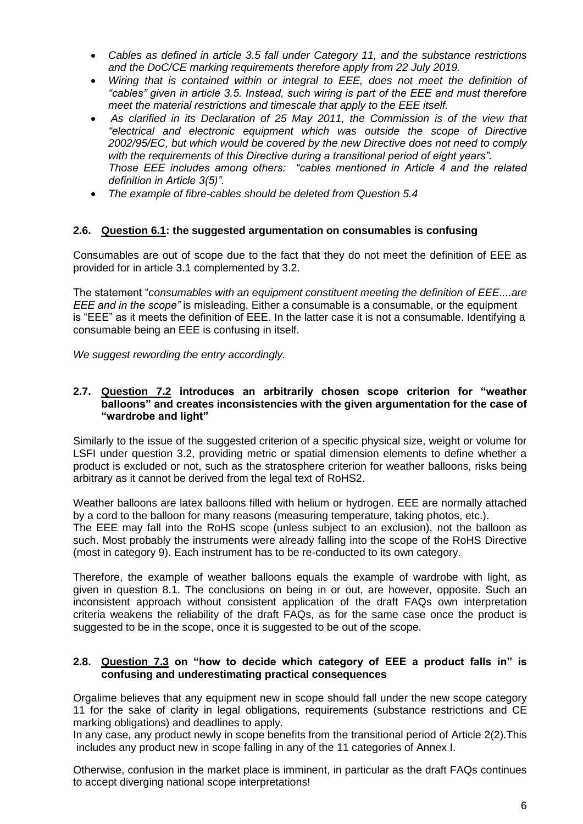- *Cables as defined in article 3.5 fall under Category 11, and the substance restrictions and the DoC/CE marking requirements therefore apply from 22 July 2019.*
- *Wiring that is contained within or integral to EEE, does not meet the definition of "cables" given in article 3.5. Instead, such wiring is part of the EEE and must therefore meet the material restrictions and timescale that apply to the EEE itself.*
- *As clarified in its Declaration of 25 May 2011, the Commission is of the view that "electrical and electronic equipment which was outside the scope of Directive 2002/95/EC, but which would be covered by the new Directive does not need to comply with the requirements of this Directive during a transitional period of eight years". Those EEE includes among others: "cables mentioned in Article 4 and the related definition in Article 3(5)".*
- *The example of fibre-cables should be deleted from Question 5.4*

#### **2.6. Question 6.1: the suggested argumentation on consumables is confusing**

Consumables are out of scope due to the fact that they do not meet the definition of EEE as provided for in article 3.1 complemented by 3.2.

The statement "*consumables with an equipment constituent meeting the definition of EEE....are EEE and in the scope"* is misleading. Either a consumable is a consumable, or the equipment is "EEE" as it meets the definition of EEE. In the latter case it is not a consumable. Identifying a consumable being an EEE is confusing in itself.

*We suggest rewording the entry accordingly.*

#### **2.7. Question 7.2 introduces an arbitrarily chosen scope criterion for "weather balloons" and creates inconsistencies with the given argumentation for the case of "wardrobe and light"**

Similarly to the issue of the suggested criterion of a specific physical size, weight or volume for LSFI under question 3.2, providing metric or spatial dimension elements to define whether a product is excluded or not, such as the stratosphere criterion for weather balloons, risks being arbitrary as it cannot be derived from the legal text of RoHS2.

Weather balloons are latex balloons filled with helium or hydrogen. EEE are normally attached by a cord to the balloon for many reasons (measuring temperature, taking photos, etc.). The EEE may fall into the RoHS scope (unless subject to an exclusion), not the balloon as such. Most probably the instruments were already falling into the scope of the RoHS Directive (most in category 9). Each instrument has to be re-conducted to its own category.

Therefore, the example of weather balloons equals the example of wardrobe with light, as given in question 8.1. The conclusions on being in or out, are however, opposite. Such an inconsistent approach without consistent application of the draft FAQs own interpretation criteria weakens the reliability of the draft FAQs, as for the same case once the product is suggested to be in the scope, once it is suggested to be out of the scope.

#### **2.8. Question 7.3 on "how to decide which category of EEE a product falls in" is confusing and underestimating practical consequences**

Orgalime believes that any equipment new in scope should fall under the new scope category 11 for the sake of clarity in legal obligations, requirements (substance restrictions and CE marking obligations) and deadlines to apply.

In any case, any product newly in scope benefits from the transitional period of Article 2(2).This includes any product new in scope falling in any of the 11 categories of Annex I.

Otherwise, confusion in the market place is imminent, in particular as the draft FAQs continues to accept diverging national scope interpretations!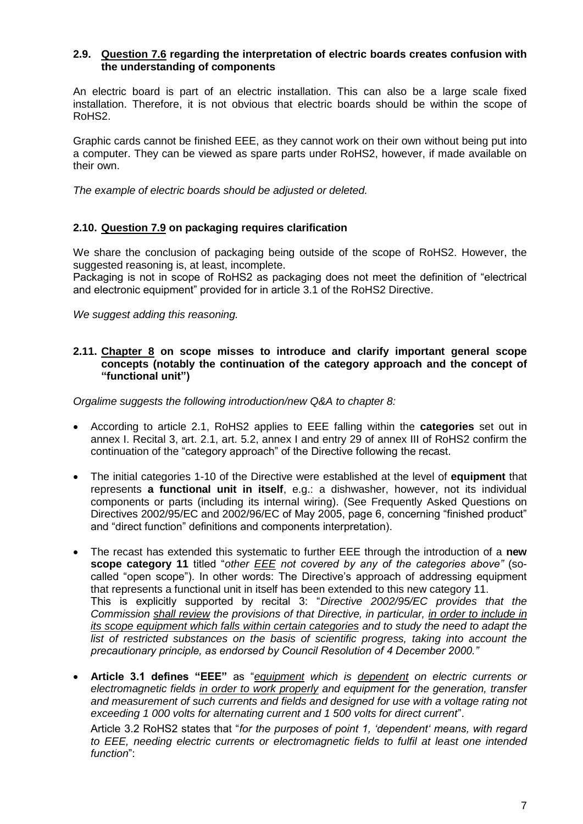#### **2.9. Question 7.6 regarding the interpretation of electric boards creates confusion with the understanding of components**

An electric board is part of an electric installation. This can also be a large scale fixed installation. Therefore, it is not obvious that electric boards should be within the scope of RoHS2.

Graphic cards cannot be finished EEE, as they cannot work on their own without being put into a computer. They can be viewed as spare parts under RoHS2, however, if made available on their own.

*The example of electric boards should be adjusted or deleted.*

## **2.10. Question 7.9 on packaging requires clarification**

We share the conclusion of packaging being outside of the scope of RoHS2. However, the suggested reasoning is, at least, incomplete.

Packaging is not in scope of RoHS2 as packaging does not meet the definition of "electrical and electronic equipment" provided for in article 3.1 of the RoHS2 Directive.

*We suggest adding this reasoning.*

#### **2.11. Chapter 8 on scope misses to introduce and clarify important general scope concepts (notably the continuation of the category approach and the concept of "functional unit")**

*Orgalime suggests the following introduction/new Q&A to chapter 8:*

- According to article 2.1, RoHS2 applies to EEE falling within the **categories** set out in annex I. Recital 3, art. 2.1, art. 5.2, annex I and entry 29 of annex III of RoHS2 confirm the continuation of the "category approach" of the Directive following the recast.
- The initial categories 1-10 of the Directive were established at the level of **equipment** that represents **a functional unit in itself**, e.g.: a dishwasher, however, not its individual components or parts (including its internal wiring). (See Frequently Asked Questions on Directives 2002/95/EC and 2002/96/EC of May 2005, page 6, concerning "finished product" and "direct function" definitions and components interpretation).
- The recast has extended this systematic to further EEE through the introduction of a **new scope category 11** titled "*other EEE not covered by any of the categories above"* (socalled "open scope"). In other words: The Directive's approach of addressing equipment that represents a functional unit in itself has been extended to this new category 11. This is explicitly supported by recital 3: "*Directive 2002/95/EC provides that the Commission shall review the provisions of that Directive, in particular, in order to include in its scope equipment which falls within certain categories and to study the need to adapt the*  list of restricted substances on the basis of scientific progress, taking into account the *precautionary principle, as endorsed by Council Resolution of 4 December 2000."*
- **Article 3.1 defines "EEE"** as "*equipment which is dependent on electric currents or electromagnetic fields in order to work properly and equipment for the generation, transfer and measurement of such currents and fields and designed for use with a voltage rating not exceeding 1 000 volts for alternating current and 1 500 volts for direct current*".

Article 3.2 RoHS2 states that "*for the purposes of point 1, 'dependent' means, with regard to EEE, needing electric currents or electromagnetic fields to fulfil at least one intended function*":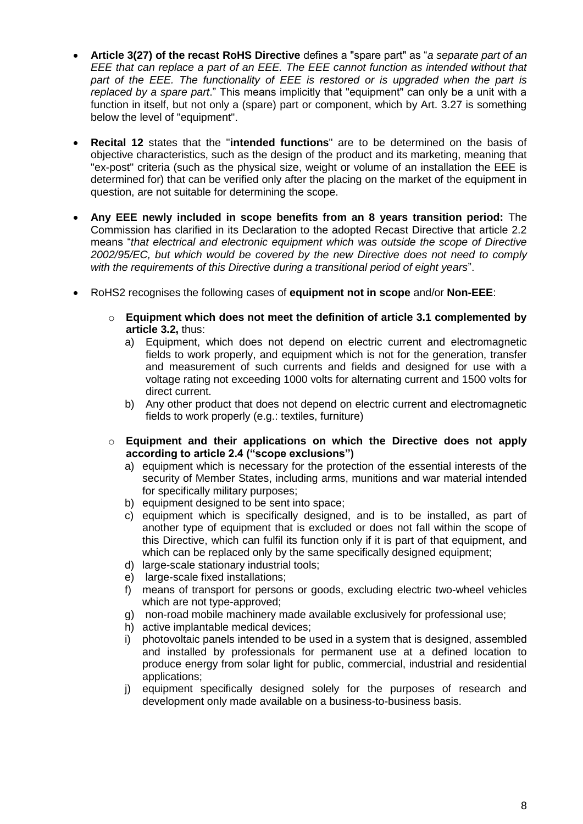- **Article 3(27) of the recast RoHS Directive** defines a "spare part" as "*a separate part of an EEE that can replace a part of an EEE. The EEE cannot function as intended without that*  part of the EEE. The functionality of EEE is restored or is upgraded when the part is *replaced by a spare part*." This means implicitly that "equipment" can only be a unit with a function in itself, but not only a (spare) part or component, which by Art. 3.27 is something below the level of "equipment".
- **Recital 12** states that the "**intended functions**" are to be determined on the basis of objective characteristics, such as the design of the product and its marketing, meaning that "ex-post" criteria (such as the physical size, weight or volume of an installation the EEE is determined for) that can be verified only after the placing on the market of the equipment in question, are not suitable for determining the scope.
- **Any EEE newly included in scope benefits from an 8 years transition period:** The Commission has clarified in its Declaration to the adopted Recast Directive that article 2.2 means "*that electrical and electronic equipment which was outside the scope of Directive 2002/95/EC, but which would be covered by the new Directive does not need to comply with the requirements of this Directive during a transitional period of eight years*".
- RoHS2 recognises the following cases of **equipment not in scope** and/or **Non-EEE**:
	- o **Equipment which does not meet the definition of article 3.1 complemented by article 3.2,** thus:
		- a) Equipment, which does not depend on electric current and electromagnetic fields to work properly, and equipment which is not for the generation, transfer and measurement of such currents and fields and designed for use with a voltage rating not exceeding 1000 volts for alternating current and 1500 volts for direct current.
		- b) Any other product that does not depend on electric current and electromagnetic fields to work properly (e.g.: textiles, furniture)
	- o **Equipment and their applications on which the Directive does not apply according to article 2.4 ("scope exclusions")**
		- a) equipment which is necessary for the protection of the essential interests of the security of Member States, including arms, munitions and war material intended for specifically military purposes;
		- b) equipment designed to be sent into space;
		- c) equipment which is specifically designed, and is to be installed, as part of another type of equipment that is excluded or does not fall within the scope of this Directive, which can fulfil its function only if it is part of that equipment, and which can be replaced only by the same specifically designed equipment;
		- d) large-scale stationary industrial tools;
		- e) large-scale fixed installations;
		- f) means of transport for persons or goods, excluding electric two-wheel vehicles which are not type-approved;
		- g) non-road mobile machinery made available exclusively for professional use;
		- h) active implantable medical devices;
		- i) photovoltaic panels intended to be used in a system that is designed, assembled and installed by professionals for permanent use at a defined location to produce energy from solar light for public, commercial, industrial and residential applications;
		- j) equipment specifically designed solely for the purposes of research and development only made available on a business-to-business basis.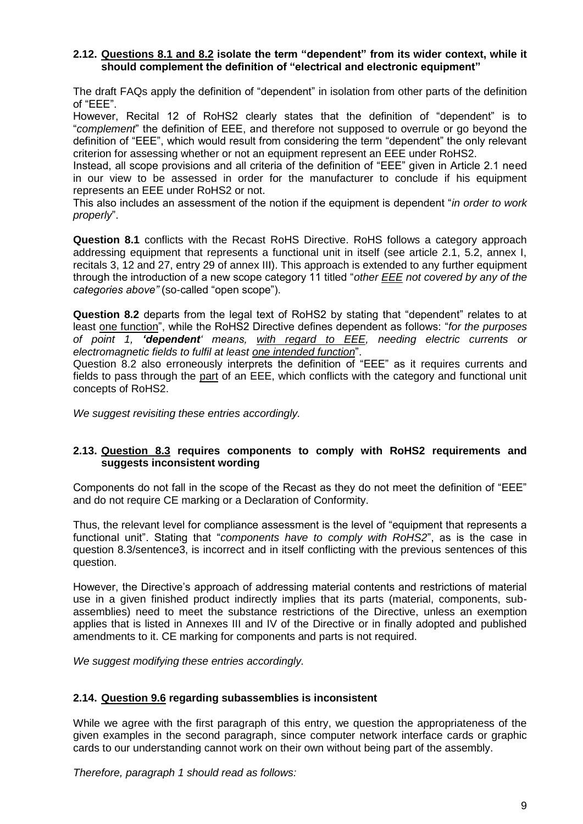#### **2.12. Questions 8.1 and 8.2 isolate the term "dependent" from its wider context, while it should complement the definition of "electrical and electronic equipment"**

The draft FAQs apply the definition of "dependent" in isolation from other parts of the definition of "EEE".

However, Recital 12 of RoHS2 clearly states that the definition of "dependent" is to "*complement*" the definition of EEE, and therefore not supposed to overrule or go beyond the definition of "EEE", which would result from considering the term "dependent" the only relevant criterion for assessing whether or not an equipment represent an EEE under RoHS2.

Instead, all scope provisions and all criteria of the definition of "EEE" given in Article 2.1 need in our view to be assessed in order for the manufacturer to conclude if his equipment represents an EEE under RoHS2 or not.

This also includes an assessment of the notion if the equipment is dependent "*in order to work properly*".

**Question 8.1** conflicts with the Recast RoHS Directive. RoHS follows a category approach addressing equipment that represents a functional unit in itself (see article 2.1, 5.2, annex I, recitals 3, 12 and 27, entry 29 of annex III). This approach is extended to any further equipment through the introduction of a new scope category 11 titled "*other EEE not covered by any of the categories above"* (so-called "open scope").

**Question 8.2** departs from the legal text of RoHS2 by stating that "dependent" relates to at least one function", while the RoHS2 Directive defines dependent as follows: "*for the purposes of point 1, 'dependent' means, with regard to EEE, needing electric currents or electromagnetic fields to fulfil at least one intended function*".

Question 8.2 also erroneously interprets the definition of "EEE" as it requires currents and fields to pass through the part of an EEE, which conflicts with the category and functional unit concepts of RoHS2.

*We suggest revisiting these entries accordingly.*

#### **2.13. Question 8.3 requires components to comply with RoHS2 requirements and suggests inconsistent wording**

Components do not fall in the scope of the Recast as they do not meet the definition of "EEE" and do not require CE marking or a Declaration of Conformity.

Thus, the relevant level for compliance assessment is the level of "equipment that represents a functional unit". Stating that "*components have to comply with RoHS2*", as is the case in question 8.3/sentence3, is incorrect and in itself conflicting with the previous sentences of this question.

However, the Directive's approach of addressing material contents and restrictions of material use in a given finished product indirectly implies that its parts (material, components, subassemblies) need to meet the substance restrictions of the Directive, unless an exemption applies that is listed in Annexes III and IV of the Directive or in finally adopted and published amendments to it. CE marking for components and parts is not required.

*We suggest modifying these entries accordingly.*

#### **2.14. Question 9.6 regarding subassemblies is inconsistent**

While we agree with the first paragraph of this entry, we question the appropriateness of the given examples in the second paragraph, since computer network interface cards or graphic cards to our understanding cannot work on their own without being part of the assembly.

*Therefore, paragraph 1 should read as follows:*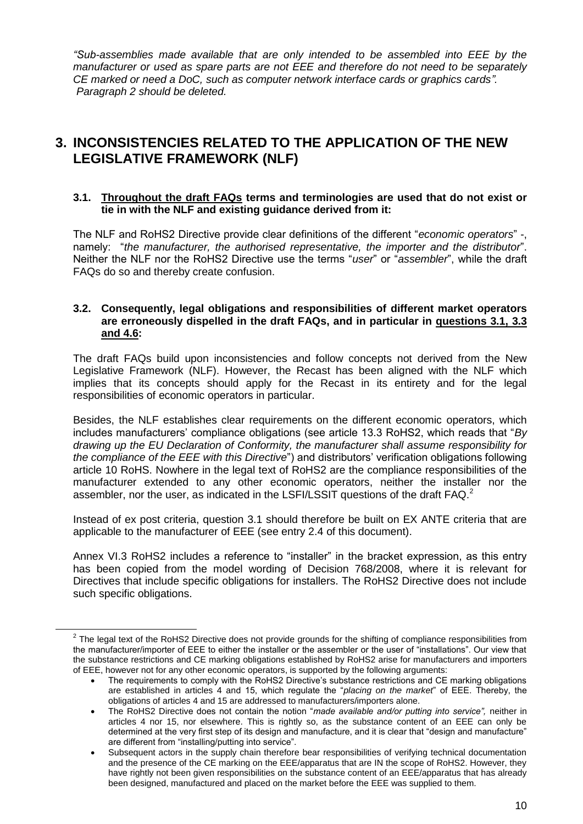*"Sub-assemblies made available that are only intended to be assembled into EEE by the manufacturer or used as spare parts are not EEE and therefore do not need to be separately CE marked or need a DoC, such as computer network interface cards or graphics cards". Paragraph 2 should be deleted.*

# **3. INCONSISTENCIES RELATED TO THE APPLICATION OF THE NEW LEGISLATIVE FRAMEWORK (NLF)**

#### **3.1. Throughout the draft FAQs terms and terminologies are used that do not exist or tie in with the NLF and existing guidance derived from it:**

The NLF and RoHS2 Directive provide clear definitions of the different "*economic operators*" -, namely: "*the manufacturer, the authorised representative, the importer and the distributor*". Neither the NLF nor the RoHS2 Directive use the terms "*user*" or "*assembler*", while the draft FAQs do so and thereby create confusion.

#### **3.2. Consequently, legal obligations and responsibilities of different market operators are erroneously dispelled in the draft FAQs, and in particular in questions 3.1, 3.3 and 4.6:**

The draft FAQs build upon inconsistencies and follow concepts not derived from the New Legislative Framework (NLF). However, the Recast has been aligned with the NLF which implies that its concepts should apply for the Recast in its entirety and for the legal responsibilities of economic operators in particular.

Besides, the NLF establishes clear requirements on the different economic operators, which includes manufacturers' compliance obligations (see article 13.3 RoHS2, which reads that "*By drawing up the EU Declaration of Conformity, the manufacturer shall assume responsibility for the compliance of the EEE with this Directive*") and distributors' verification obligations following article 10 RoHS. Nowhere in the legal text of RoHS2 are the compliance responsibilities of the manufacturer extended to any other economic operators, neither the installer nor the assembler, nor the user, as indicated in the LSFI/LSSIT questions of the draft  $FAQ<sup>2</sup>$ 

Instead of ex post criteria, question 3.1 should therefore be built on EX ANTE criteria that are applicable to the manufacturer of EEE (see entry 2.4 of this document).

Annex VI.3 RoHS2 includes a reference to "installer" in the bracket expression, as this entry has been copied from the model wording of Decision 768/2008, where it is relevant for Directives that include specific obligations for installers. The RoHS2 Directive does not include such specific obligations.

 $\overline{a}$ 

 $2$  The legal text of the RoHS2 Directive does not provide grounds for the shifting of compliance responsibilities from the manufacturer/importer of EEE to either the installer or the assembler or the user of "installations". Our view that the substance restrictions and CE marking obligations established by RoHS2 arise for manufacturers and importers of EEE, however not for any other economic operators, is supported by the following arguments:

The requirements to comply with the RoHS2 Directive's substance restrictions and CE marking obligations are established in articles 4 and 15, which regulate the "*placing on the market*" of EEE. Thereby, the obligations of articles 4 and 15 are addressed to manufacturers/importers alone.

The RoHS2 Directive does not contain the notion "*made available and/or putting into service",* neither in articles 4 nor 15, nor elsewhere. This is rightly so, as the substance content of an EEE can only be determined at the very first step of its design and manufacture, and it is clear that "design and manufacture" are different from "installing/putting into service".

Subsequent actors in the supply chain therefore bear responsibilities of verifying technical documentation and the presence of the CE marking on the EEE/apparatus that are IN the scope of RoHS2. However, they have rightly not been given responsibilities on the substance content of an EEE/apparatus that has already been designed, manufactured and placed on the market before the EEE was supplied to them.